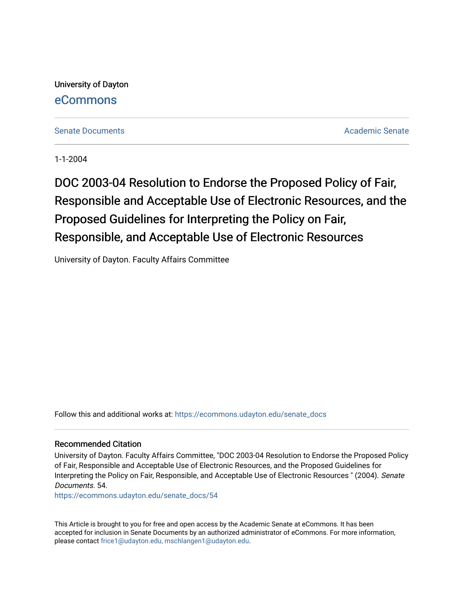University of Dayton [eCommons](https://ecommons.udayton.edu/)

[Senate Documents](https://ecommons.udayton.edu/senate_docs) **Academic Senate** Academic Senate

1-1-2004

DOC 2003-04 Resolution to Endorse the Proposed Policy of Fair, Responsible and Acceptable Use of Electronic Resources, and the Proposed Guidelines for Interpreting the Policy on Fair, Responsible, and Acceptable Use of Electronic Resources

University of Dayton. Faculty Affairs Committee

Follow this and additional works at: [https://ecommons.udayton.edu/senate\\_docs](https://ecommons.udayton.edu/senate_docs?utm_source=ecommons.udayton.edu%2Fsenate_docs%2F54&utm_medium=PDF&utm_campaign=PDFCoverPages) 

#### Recommended Citation

University of Dayton. Faculty Affairs Committee, "DOC 2003-04 Resolution to Endorse the Proposed Policy of Fair, Responsible and Acceptable Use of Electronic Resources, and the Proposed Guidelines for Interpreting the Policy on Fair, Responsible, and Acceptable Use of Electronic Resources " (2004). Senate Documents. 54.

[https://ecommons.udayton.edu/senate\\_docs/54](https://ecommons.udayton.edu/senate_docs/54?utm_source=ecommons.udayton.edu%2Fsenate_docs%2F54&utm_medium=PDF&utm_campaign=PDFCoverPages) 

This Article is brought to you for free and open access by the Academic Senate at eCommons. It has been accepted for inclusion in Senate Documents by an authorized administrator of eCommons. For more information, please contact [frice1@udayton.edu, mschlangen1@udayton.edu.](mailto:frice1@udayton.edu,%20mschlangen1@udayton.edu)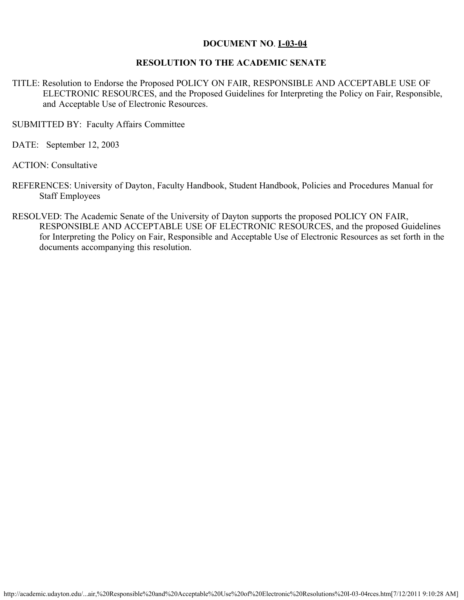#### **DOCUMENT NO**. **I-03-04**

#### **RESOLUTION TO THE ACADEMIC SENATE**

TITLE: Resolution to Endorse the Proposed POLICY ON FAIR, RESPONSIBLE AND ACCEPTABLE USE OF ELECTRONIC RESOURCES, and the Proposed Guidelines for Interpreting the Policy on Fair, Responsible, and Acceptable Use of Electronic Resources.

SUBMITTED BY: Faculty Affairs Committee

DATE: September 12, 2003

ACTION: Consultative

- REFERENCES: University of Dayton, Faculty Handbook, Student Handbook, Policies and Procedures Manual for Staff Employees
- RESOLVED: The Academic Senate of the University of Dayton supports the proposed POLICY ON FAIR, RESPONSIBLE AND ACCEPTABLE USE OF ELECTRONIC RESOURCES, and the proposed Guidelines for Interpreting the Policy on Fair, Responsible and Acceptable Use of Electronic Resources as set forth in the documents accompanying this resolution.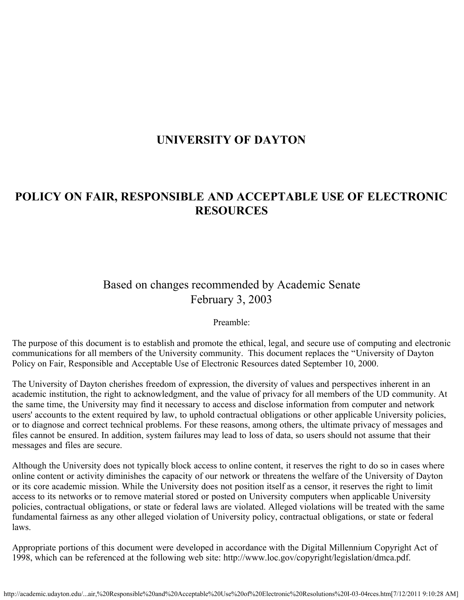## **UNIVERSITY OF DAYTON**

# **POLICY ON FAIR, RESPONSIBLE AND ACCEPTABLE USE OF ELECTRONIC RESOURCES**

# Based on changes recommended by Academic Senate February 3, 2003

Preamble:

The purpose of this document is to establish and promote the ethical, legal, and secure use of computing and electronic communications for all members of the University community. This document replaces the "University of Dayton Policy on Fair, Responsible and Acceptable Use of Electronic Resources dated September 10, 2000.

The University of Dayton cherishes freedom of expression, the diversity of values and perspectives inherent in an academic institution, the right to acknowledgment, and the value of privacy for all members of the UD community. At the same time, the University may find it necessary to access and disclose information from computer and network users' accounts to the extent required by law, to uphold contractual obligations or other applicable University policies, or to diagnose and correct technical problems. For these reasons, among others, the ultimate privacy of messages and files cannot be ensured. In addition, system failures may lead to loss of data, so users should not assume that their messages and files are secure.

Although the University does not typically block access to online content, it reserves the right to do so in cases where online content or activity diminishes the capacity of our network or threatens the welfare of the University of Dayton or its core academic mission. While the University does not position itself as a censor, it reserves the right to limit access to its networks or to remove material stored or posted on University computers when applicable University policies, contractual obligations, or state or federal laws are violated. Alleged violations will be treated with the same fundamental fairness as any other alleged violation of University policy, contractual obligations, or state or federal laws.

Appropriate portions of this document were developed in accordance with the Digital Millennium Copyright Act of 1998, which can be referenced at the following web site: http://www.loc.gov/copyright/legislation/dmca.pdf.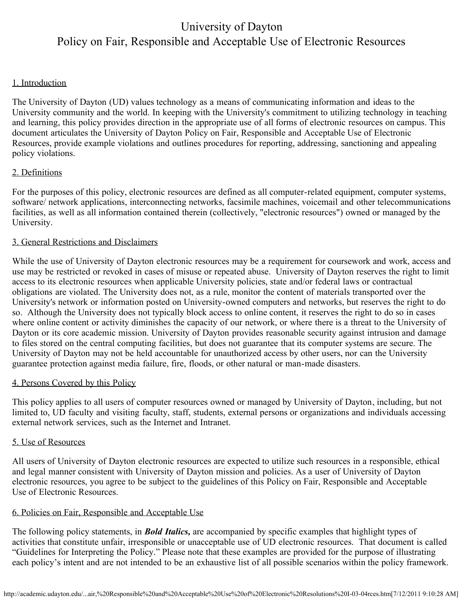# University of Dayton Policy on Fair, Responsible and Acceptable Use of Electronic Resources

#### 1. Introduction

The University of Dayton (UD) values technology as a means of communicating information and ideas to the University community and the world. In keeping with the University's commitment to utilizing technology in teaching and learning, this policy provides direction in the appropriate use of all forms of electronic resources on campus. This document articulates the University of Dayton Policy on Fair, Responsible and Acceptable Use of Electronic Resources, provide example violations and outlines procedures for reporting, addressing, sanctioning and appealing policy violations.

#### 2. Definitions

For the purposes of this policy, electronic resources are defined as all computer-related equipment, computer systems, software/ network applications, interconnecting networks, facsimile machines, voicemail and other telecommunications facilities, as well as all information contained therein (collectively, "electronic resources") owned or managed by the University.

#### 3. General Restrictions and Disclaimers

While the use of University of Dayton electronic resources may be a requirement for coursework and work, access and use may be restricted or revoked in cases of misuse or repeated abuse. University of Dayton reserves the right to limit access to its electronic resources when applicable University policies, state and/or federal laws or contractual obligations are violated. The University does not, as a rule, monitor the content of materials transported over the University's network or information posted on University-owned computers and networks, but reserves the right to do so. Although the University does not typically block access to online content, it reserves the right to do so in cases where online content or activity diminishes the capacity of our network, or where there is a threat to the University of Dayton or its core academic mission. University of Dayton provides reasonable security against intrusion and damage to files stored on the central computing facilities, but does not guarantee that its computer systems are secure. The University of Dayton may not be held accountable for unauthorized access by other users, nor can the University guarantee protection against media failure, fire, floods, or other natural or man-made disasters.

#### 4. Persons Covered by this Policy

This policy applies to all users of computer resources owned or managed by University of Dayton, including, but not limited to, UD faculty and visiting faculty, staff, students, external persons or organizations and individuals accessing external network services, such as the Internet and Intranet.

#### 5. Use of Resources

All users of University of Dayton electronic resources are expected to utilize such resources in a responsible, ethical and legal manner consistent with University of Dayton mission and policies. As a user of University of Dayton electronic resources, you agree to be subject to the guidelines of this Policy on Fair, Responsible and Acceptable Use of Electronic Resources.

#### 6. Policies on Fair, Responsible and Acceptable Use

The following policy statements, in *Bold Italics,* are accompanied by specific examples that highlight types of activities that constitute unfair, irresponsible or unacceptable use of UD electronic resources. That document is called "Guidelines for Interpreting the Policy." Please note that these examples are provided for the purpose of illustrating each policy's intent and are not intended to be an exhaustive list of all possible scenarios within the policy framework.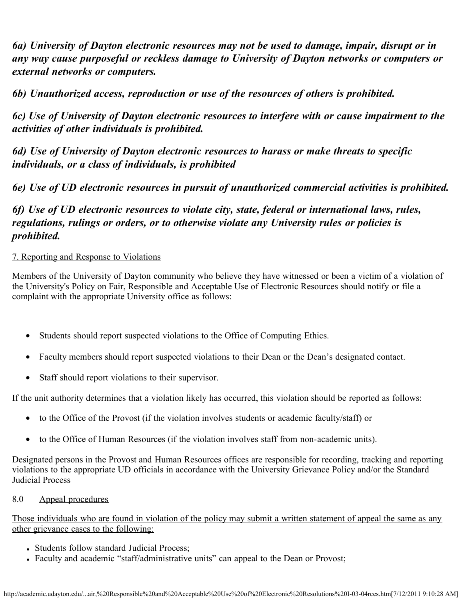*6a) University of Dayton electronic resources may not be used to damage, impair, disrupt or in any way cause purposeful or reckless damage to University of Dayton networks or computers or external networks or computers.*

*6b) Unauthorized access, reproduction or use of the resources of others is prohibited.*

*6c) Use of University of Dayton electronic resources to interfere with or cause impairment to the activities of other individuals is prohibited.*

*6d) Use of University of Dayton electronic resources to harass or make threats to specific individuals, or a class of individuals, is prohibited*

*6e) Use of UD electronic resources in pursuit of unauthorized commercial activities is prohibited.*

*6f) Use of UD electronic resources to violate city, state, federal or international laws, rules, regulations, rulings or orders, or to otherwise violate any University rules or policies is prohibited.*

#### 7. Reporting and Response to Violations

Members of the University of Dayton community who believe they have witnessed or been a victim of a violation of the University's Policy on Fair, Responsible and Acceptable Use of Electronic Resources should notify or file a complaint with the appropriate University office as follows:

- Students should report suspected violations to the Office of Computing Ethics.
- Faculty members should report suspected violations to their Dean or the Dean's designated contact.
- Staff should report violations to their supervisor.

If the unit authority determines that a violation likely has occurred, this violation should be reported as follows:

- to the Office of the Provost (if the violation involves students or academic faculty/staff) or
- to the Office of Human Resources (if the violation involves staff from non-academic units).

Designated persons in the Provost and Human Resources offices are responsible for recording, tracking and reporting violations to the appropriate UD officials in accordance with the University Grievance Policy and/or the Standard Judicial Process

8.0 Appeal procedures

Those individuals who are found in violation of the policy may submit a written statement of appeal the same as any other grievance cases to the following:

- Students follow standard Judicial Process:
- Faculty and academic "staff/administrative units" can appeal to the Dean or Provost;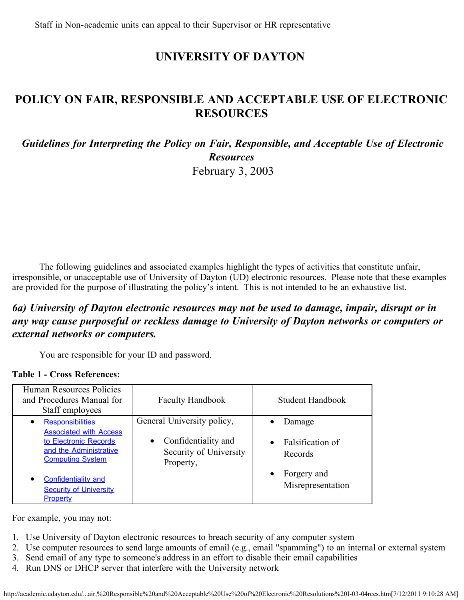# **UNIVERSITY OF DAYTON**

# **POLICY ON FAIR, RESPONSIBLE AND ACCEPTABLE USE OF ELECTRONIC RESOURCES**

*Guidelines for Interpreting the Policy on Fair, Responsible, and Acceptable Use of Electronic Resources*

February 3, 2003

The following guidelines and associated examples highlight the types of activities that constitute unfair, irresponsible, or unacceptable use of University of Dayton (UD) electronic resources. Please note that these examples are provided for the purpose of illustrating the policy's intent. This is not intended to be an exhaustive list.

## *6a) University of Dayton electronic resources may not be used to damage, impair, disrupt or in any way cause purposeful or reckless damage to University of Dayton networks or computers or external networks or computers.*

You are responsible for your ID and password.

#### **Table 1 - Cross References:**

| Human Resources Policies<br>and Procedures Manual for<br>Staff employees                                                                                                                              | <b>Faculty Handbook</b>                                                                               | Student Handbook                                                          |
|-------------------------------------------------------------------------------------------------------------------------------------------------------------------------------------------------------|-------------------------------------------------------------------------------------------------------|---------------------------------------------------------------------------|
| <b>Responsibilities</b><br><b>Associated with Access</b><br>to Electronic Records<br>and the Administrative<br><b>Computing System</b><br><b>Confidentiality and</b><br><b>Security of University</b> | General University policy,<br>Confidentiality and<br>$\bullet$<br>Security of University<br>Property, | Damage<br>Falsification of<br>Records<br>Forgery and<br>Misrepresentation |
| <b>Property</b>                                                                                                                                                                                       |                                                                                                       |                                                                           |

For example, you may not:

- 1. Use University of Dayton electronic resources to breach security of any computer system
- 2. Use computer resources to send large amounts of email (e.g., email "spamming") to an internal or external system
- 3. Send email of any type to someone's address in an effort to disable their email capabilities
- 4. Run DNS or DHCP server that interfere with the University network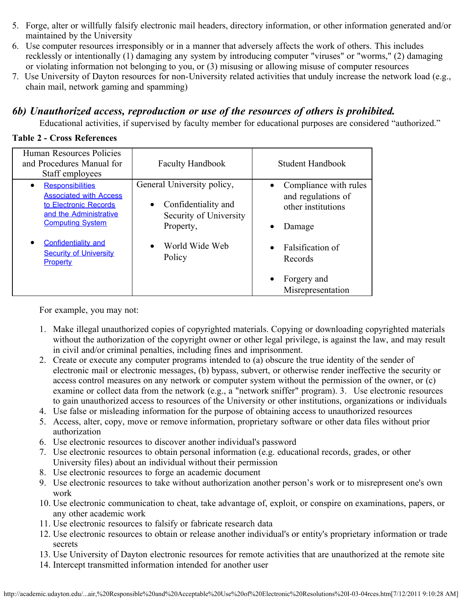- 5. Forge, alter or willfully falsify electronic mail headers, directory information, or other information generated and/or maintained by the University
- 6. Use computer resources irresponsibly or in a manner that adversely affects the work of others. This includes recklessly or intentionally (1) damaging any system by introducing computer "viruses" or "worms," (2) damaging or violating information not belonging to you, or (3) misusing or allowing misuse of computer resources
- 7. Use University of Dayton resources for non-University related activities that unduly increase the network load (e.g., chain mail, network gaming and spamming)

## *6b) Unauthorized access, reproduction or use of the resources of others is prohibited.*

Educational activities, if supervised by faculty member for educational purposes are considered "authorized."

### **Table 2 - Cross References**

| Human Resources Policies<br>and Procedures Manual for<br>Staff employees                                                                                                                                                      | <b>Faculty Handbook</b>                                                                                              | Student Handbook                                                                                                                                            |
|-------------------------------------------------------------------------------------------------------------------------------------------------------------------------------------------------------------------------------|----------------------------------------------------------------------------------------------------------------------|-------------------------------------------------------------------------------------------------------------------------------------------------------------|
| <b>Responsibilities</b><br>٠<br><b>Associated with Access</b><br>to Electronic Records<br>and the Administrative<br><b>Computing System</b><br><b>Confidentiality and</b><br><b>Security of University</b><br><b>Property</b> | General University policy,<br>Confidentiality and<br>Security of University<br>Property,<br>World Wide Web<br>Policy | Compliance with rules<br>$\bullet$<br>and regulations of<br>other institutions<br>Damage<br>Falsification of<br>Records<br>Forgery and<br>Misrepresentation |

For example, you may not:

- 1. Make illegal unauthorized copies of copyrighted materials. Copying or downloading copyrighted materials without the authorization of the copyright owner or other legal privilege, is against the law, and may result in civil and/or criminal penalties, including fines and imprisonment.
- 2. Create or execute any computer programs intended to (a) obscure the true identity of the sender of electronic mail or electronic messages, (b) bypass, subvert, or otherwise render ineffective the security or access control measures on any network or computer system without the permission of the owner, or (c) examine or collect data from the network (e.g., a "network sniffer" program). 3. Use electronic resources to gain unauthorized access to resources of the University or other institutions, organizations or individuals
- 4. Use false or misleading information for the purpose of obtaining access to unauthorized resources
- 5. Access, alter, copy, move or remove information, proprietary software or other data files without prior authorization
- 6. Use electronic resources to discover another individual's password
- 7. Use electronic resources to obtain personal information (e.g. educational records, grades, or other University files) about an individual without their permission
- 8. Use electronic resources to forge an academic document
- 9. Use electronic resources to take without authorization another person's work or to misrepresent one's own work
- 10. Use electronic communication to cheat, take advantage of, exploit, or conspire on examinations, papers, or any other academic work
- 11. Use electronic resources to falsify or fabricate research data
- 12. Use electronic resources to obtain or release another individual's or entity's proprietary information or trade secrets
- 13. Use University of Dayton electronic resources for remote activities that are unauthorized at the remote site
- 14. Intercept transmitted information intended for another user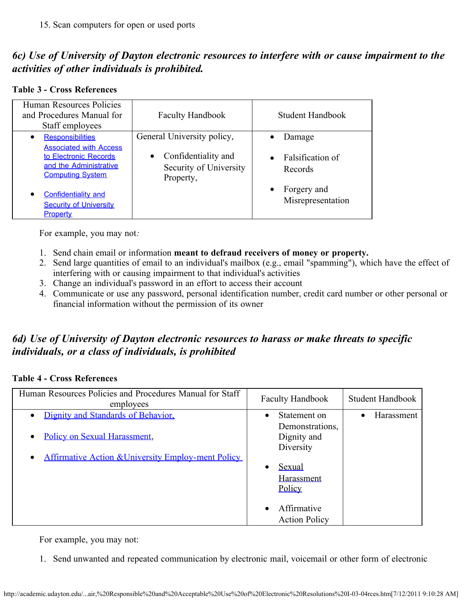## *6c) Use of University of Dayton electronic resources to interfere with or cause impairment to the activities of other individuals is prohibited.*

#### **Table 3 - Cross References**

| Human Resources Policies<br>and Procedures Manual for<br>Staff employees                                                                                                   | <b>Faculty Handbook</b>                                                 | Student Handbook                                                |
|----------------------------------------------------------------------------------------------------------------------------------------------------------------------------|-------------------------------------------------------------------------|-----------------------------------------------------------------|
| <b>Responsibilities</b>                                                                                                                                                    | General University policy,                                              | Damage                                                          |
| <b>Associated with Access</b><br>to Electronic Records<br>and the Administrative<br><b>Computing System</b><br><b>Confidentiality and</b><br><b>Security of University</b> | Confidentiality and<br>$\bullet$<br>Security of University<br>Property, | Falsification of<br>Records<br>Forgery and<br>Misrepresentation |
| <b>Property</b>                                                                                                                                                            |                                                                         |                                                                 |

For example, you may not*:*

- 1. Send chain email or information **meant to defraud receivers of money or property.**
- 2. Send large quantities of email to an individual's mailbox (e.g., email "spamming"), which have the effect of interfering with or causing impairment to that individual's activities
- 3. Change an individual's password in an effort to access their account
- 4. Communicate or use any password, personal identification number, credit card number or other personal or financial information without the permission of its owner

# *6d) Use of University of Dayton electronic resources to harass or make threats to specific individuals, or a class of individuals, is prohibited*

### **Table 4 - Cross References**

| Human Resources Policies and Procedures Manual for Staff<br>employees      | <b>Faculty Handbook</b>                          | <b>Student Handbook</b> |
|----------------------------------------------------------------------------|--------------------------------------------------|-------------------------|
| Dignity and Standards of Behavior,<br>$\bullet$                            | Statement on<br>$\bullet$                        | Harassment              |
| Policy on Sexual Harassment,<br>$\bullet$                                  | Demonstrations,<br>Dignity and<br>Diversity      |                         |
| <b>Affirmative Action &amp; University Employ-ment Policy</b><br>$\bullet$ |                                                  |                         |
|                                                                            | <b>Sexual</b>                                    |                         |
|                                                                            | Harassment                                       |                         |
|                                                                            | Policy                                           |                         |
|                                                                            | Affirmative<br>$\bullet$<br><b>Action Policy</b> |                         |

For example, you may not:

1. Send unwanted and repeated communication by electronic mail, voicemail or other form of electronic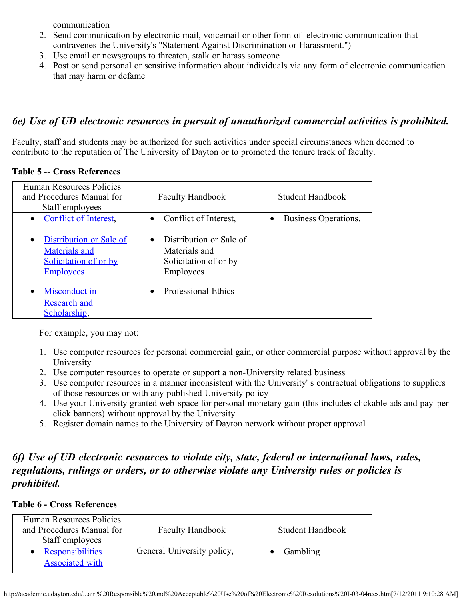communication

- 2. Send communication by electronic mail, voicemail or other form of electronic communication that contravenes the University's "Statement Against Discrimination or Harassment.")
- 3. Use email or newsgroups to threaten, stalk or harass someone
- 4. Post or send personal or sensitive information about individuals via any form of electronic communication that may harm or defame

### *6e) Use of UD electronic resources in pursuit of unauthorized commercial activities is prohibited.*

Faculty, staff and students may be authorized for such activities under special circumstances when deemed to contribute to the reputation of The University of Dayton or to promoted the tenure track of faculty.

### **Table 5 -- Cross References**

| Human Resources Policies<br>and Procedures Manual for<br>Staff employees                                                                                                                                             | <b>Faculty Handbook</b>                                                                                                                     | Student Handbook                  |
|----------------------------------------------------------------------------------------------------------------------------------------------------------------------------------------------------------------------|---------------------------------------------------------------------------------------------------------------------------------------------|-----------------------------------|
| Conflict of Interest,<br>$\bullet$<br>Distribution or Sale of<br>$\bullet$<br><b>Materials and</b><br>Solicitation of or by<br><b>Employees</b><br>Misconduct in<br>$\bullet$<br><b>Research and</b><br>Scholarship, | Conflict of Interest,<br>$\bullet$<br>Distribution or Sale of<br>Materials and<br>Solicitation of or by<br>Employees<br>Professional Ethics | Business Operations.<br>$\bullet$ |

For example, you may not:

- 1. Use computer resources for personal commercial gain, or other commercial purpose without approval by the University
- 2. Use computer resources to operate or support a non-University related business
- 3. Use computer resources in a manner inconsistent with the University' s contractual obligations to suppliers of those resources or with any published University policy
- 4. Use your University granted web-space for personal monetary gain (this includes clickable ads and pay-per click banners) without approval by the University
- 5. Register domain names to the University of Dayton network without proper approval

## *6f) Use of UD electronic resources to violate city, state, federal or international laws, rules, regulations, rulings or orders, or to otherwise violate any University rules or policies is prohibited.*

**Table 6 - Cross References**

| Human Resources Policies<br>and Procedures Manual for<br>Staff employees | <b>Faculty Handbook</b>    | Student Handbook   |
|--------------------------------------------------------------------------|----------------------------|--------------------|
| Responsibilities<br><b>Associated with</b>                               | General University policy, | $\bullet$ Gambling |